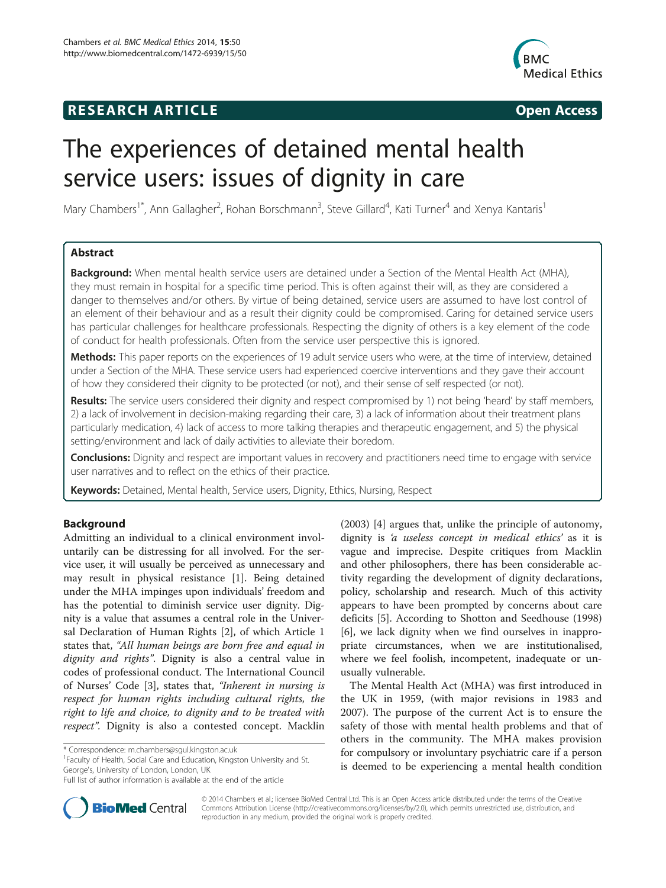# **RESEARCH ARTICLE Example 2014 CONSIDERING CONSIDERING CONSIDERING CONSIDERING CONSIDERING CONSIDERING CONSIDERING CONSIDERING CONSIDERING CONSIDERING CONSIDERING CONSIDERING CONSIDERING CONSIDERING CONSIDERING CONSIDE**



# The experiences of detained mental health service users: issues of dignity in care

Mary Chambers<sup>1\*</sup>, Ann Gallagher<sup>2</sup>, Rohan Borschmann<sup>3</sup>, Steve Gillard<sup>4</sup>, Kati Turner<sup>4</sup> and Xenya Kantaris<sup>1</sup>

# Abstract

**Background:** When mental health service users are detained under a Section of the Mental Health Act (MHA), they must remain in hospital for a specific time period. This is often against their will, as they are considered a danger to themselves and/or others. By virtue of being detained, service users are assumed to have lost control of an element of their behaviour and as a result their dignity could be compromised. Caring for detained service users has particular challenges for healthcare professionals. Respecting the dignity of others is a key element of the code of conduct for health professionals. Often from the service user perspective this is ignored.

Methods: This paper reports on the experiences of 19 adult service users who were, at the time of interview, detained under a Section of the MHA. These service users had experienced coercive interventions and they gave their account of how they considered their dignity to be protected (or not), and their sense of self respected (or not).

Results: The service users considered their dignity and respect compromised by 1) not being 'heard' by staff members, 2) a lack of involvement in decision-making regarding their care, 3) a lack of information about their treatment plans particularly medication, 4) lack of access to more talking therapies and therapeutic engagement, and 5) the physical setting/environment and lack of daily activities to alleviate their boredom.

Conclusions: Dignity and respect are important values in recovery and practitioners need time to engage with service user narratives and to reflect on the ethics of their practice.

Keywords: Detained, Mental health, Service users, Dignity, Ethics, Nursing, Respect

# Background

Admitting an individual to a clinical environment involuntarily can be distressing for all involved. For the service user, it will usually be perceived as unnecessary and may result in physical resistance [[1](#page-6-0)]. Being detained under the MHA impinges upon individuals' freedom and has the potential to diminish service user dignity. Dignity is a value that assumes a central role in the Universal Declaration of Human Rights [[2\]](#page-6-0), of which Article 1 states that, "All human beings are born free and equal in dignity and rights". Dignity is also a central value in codes of professional conduct. The International Council of Nurses' Code [[3\]](#page-6-0), states that, "Inherent in nursing is respect for human rights including cultural rights, the right to life and choice, to dignity and to be treated with respect". Dignity is also a contested concept. Macklin

<sup>1</sup>Faculty of Health, Social Care and Education, Kingston University and St. George's, University of London, London, UK

(2003) [\[4](#page-6-0)] argues that, unlike the principle of autonomy, dignity is 'a useless concept in medical ethics' as it is vague and imprecise. Despite critiques from Macklin and other philosophers, there has been considerable activity regarding the development of dignity declarations, policy, scholarship and research. Much of this activity appears to have been prompted by concerns about care deficits [\[5](#page-6-0)]. According to Shotton and Seedhouse (1998) [[6\]](#page-6-0), we lack dignity when we find ourselves in inappropriate circumstances, when we are institutionalised, where we feel foolish, incompetent, inadequate or unusually vulnerable.

The Mental Health Act (MHA) was first introduced in the UK in 1959, (with major revisions in 1983 and 2007). The purpose of the current Act is to ensure the safety of those with mental health problems and that of others in the community. The MHA makes provision for compulsory or involuntary psychiatric care if a person is deemed to be experiencing a mental health condition



© 2014 Chambers et al.; licensee BioMed Central Ltd. This is an Open Access article distributed under the terms of the Creative Commons Attribution License [\(http://creativecommons.org/licenses/by/2.0\)](http://creativecommons.org/licenses/by/2.0), which permits unrestricted use, distribution, and reproduction in any medium, provided the original work is properly credited.

<sup>\*</sup> Correspondence: [m.chambers@sgul.kingston.ac.uk](mailto:m.chambers@sgul.kingston.ac.uk) <sup>1</sup>

Full list of author information is available at the end of the article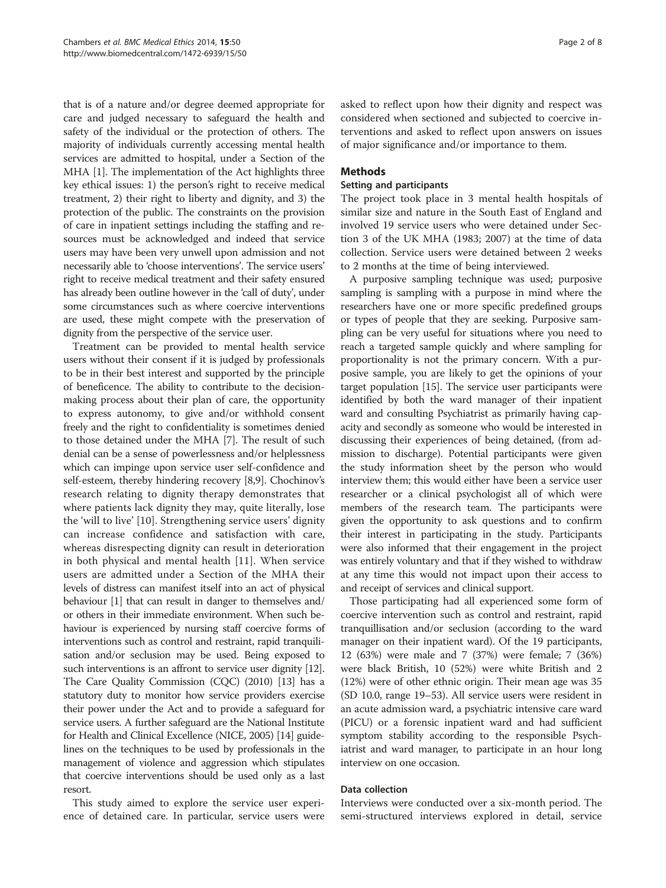that is of a nature and/or degree deemed appropriate for care and judged necessary to safeguard the health and safety of the individual or the protection of others. The majority of individuals currently accessing mental health services are admitted to hospital, under a Section of the MHA [\[1](#page-6-0)]. The implementation of the Act highlights three key ethical issues: 1) the person's right to receive medical treatment, 2) their right to liberty and dignity, and 3) the protection of the public. The constraints on the provision of care in inpatient settings including the staffing and resources must be acknowledged and indeed that service users may have been very unwell upon admission and not necessarily able to 'choose interventions'. The service users' right to receive medical treatment and their safety ensured has already been outline however in the 'call of duty', under some circumstances such as where coercive interventions are used, these might compete with the preservation of dignity from the perspective of the service user.

Treatment can be provided to mental health service users without their consent if it is judged by professionals to be in their best interest and supported by the principle of beneficence. The ability to contribute to the decisionmaking process about their plan of care, the opportunity to express autonomy, to give and/or withhold consent freely and the right to confidentiality is sometimes denied to those detained under the MHA [[7\]](#page-6-0). The result of such denial can be a sense of powerlessness and/or helplessness which can impinge upon service user self-confidence and self-esteem, thereby hindering recovery [[8,9](#page-6-0)]. Chochinov's research relating to dignity therapy demonstrates that where patients lack dignity they may, quite literally, lose the 'will to live' [\[10](#page-6-0)]. Strengthening service users' dignity can increase confidence and satisfaction with care, whereas disrespecting dignity can result in deterioration in both physical and mental health [\[11](#page-6-0)]. When service users are admitted under a Section of the MHA their levels of distress can manifest itself into an act of physical behaviour [\[1\]](#page-6-0) that can result in danger to themselves and/ or others in their immediate environment. When such behaviour is experienced by nursing staff coercive forms of interventions such as control and restraint, rapid tranquilisation and/or seclusion may be used. Being exposed to such interventions is an affront to service user dignity [[12](#page-6-0)]. The Care Quality Commission (CQC) (2010) [\[13](#page-7-0)] has a statutory duty to monitor how service providers exercise their power under the Act and to provide a safeguard for service users. A further safeguard are the National Institute for Health and Clinical Excellence (NICE, 2005) [\[14\]](#page-7-0) guidelines on the techniques to be used by professionals in the management of violence and aggression which stipulates that coercive interventions should be used only as a last resort.

This study aimed to explore the service user experience of detained care. In particular, service users were asked to reflect upon how their dignity and respect was considered when sectioned and subjected to coercive interventions and asked to reflect upon answers on issues of major significance and/or importance to them.

## Methods

#### Setting and participants

The project took place in 3 mental health hospitals of similar size and nature in the South East of England and involved 19 service users who were detained under Section 3 of the UK MHA (1983; 2007) at the time of data collection. Service users were detained between 2 weeks to 2 months at the time of being interviewed.

A purposive sampling technique was used; purposive sampling is sampling with a purpose in mind where the researchers have one or more specific predefined groups or types of people that they are seeking. Purposive sampling can be very useful for situations where you need to reach a targeted sample quickly and where sampling for proportionality is not the primary concern. With a purposive sample, you are likely to get the opinions of your target population [[15](#page-7-0)]. The service user participants were identified by both the ward manager of their inpatient ward and consulting Psychiatrist as primarily having capacity and secondly as someone who would be interested in discussing their experiences of being detained, (from admission to discharge). Potential participants were given the study information sheet by the person who would interview them; this would either have been a service user researcher or a clinical psychologist all of which were members of the research team. The participants were given the opportunity to ask questions and to confirm their interest in participating in the study. Participants were also informed that their engagement in the project was entirely voluntary and that if they wished to withdraw at any time this would not impact upon their access to and receipt of services and clinical support.

Those participating had all experienced some form of coercive intervention such as control and restraint, rapid tranquillisation and/or seclusion (according to the ward manager on their inpatient ward). Of the 19 participants, 12 (63%) were male and 7 (37%) were female; 7 (36%) were black British, 10 (52%) were white British and 2 (12%) were of other ethnic origin. Their mean age was 35 (SD 10.0, range 19–53). All service users were resident in an acute admission ward, a psychiatric intensive care ward (PICU) or a forensic inpatient ward and had sufficient symptom stability according to the responsible Psychiatrist and ward manager, to participate in an hour long interview on one occasion.

#### Data collection

Interviews were conducted over a six-month period. The semi-structured interviews explored in detail, service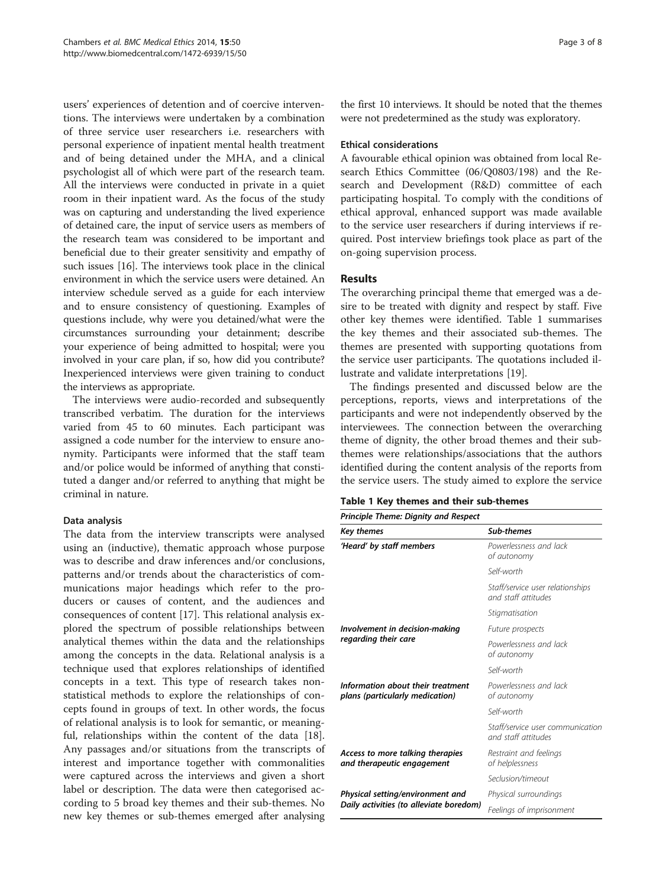users' experiences of detention and of coercive interventions. The interviews were undertaken by a combination of three service user researchers i.e. researchers with personal experience of inpatient mental health treatment and of being detained under the MHA, and a clinical psychologist all of which were part of the research team. All the interviews were conducted in private in a quiet room in their inpatient ward. As the focus of the study was on capturing and understanding the lived experience of detained care, the input of service users as members of the research team was considered to be important and beneficial due to their greater sensitivity and empathy of such issues [\[16\]](#page-7-0). The interviews took place in the clinical environment in which the service users were detained. An interview schedule served as a guide for each interview and to ensure consistency of questioning. Examples of questions include, why were you detained/what were the circumstances surrounding your detainment; describe your experience of being admitted to hospital; were you involved in your care plan, if so, how did you contribute? Inexperienced interviews were given training to conduct the interviews as appropriate.

The interviews were audio-recorded and subsequently transcribed verbatim. The duration for the interviews varied from 45 to 60 minutes. Each participant was assigned a code number for the interview to ensure anonymity. Participants were informed that the staff team and/or police would be informed of anything that constituted a danger and/or referred to anything that might be criminal in nature.

# Data analysis

The data from the interview transcripts were analysed using an (inductive), thematic approach whose purpose was to describe and draw inferences and/or conclusions, patterns and/or trends about the characteristics of communications major headings which refer to the producers or causes of content, and the audiences and consequences of content [[17](#page-7-0)]. This relational analysis explored the spectrum of possible relationships between analytical themes within the data and the relationships among the concepts in the data. Relational analysis is a technique used that explores relationships of identified concepts in a text. This type of research takes nonstatistical methods to explore the relationships of concepts found in groups of text. In other words, the focus of relational analysis is to look for semantic, or meaningful, relationships within the content of the data [\[18](#page-7-0)]. Any passages and/or situations from the transcripts of interest and importance together with commonalities were captured across the interviews and given a short label or description. The data were then categorised according to 5 broad key themes and their sub-themes. No new key themes or sub-themes emerged after analysing

the first 10 interviews. It should be noted that the themes were not predetermined as the study was exploratory.

#### Ethical considerations

A favourable ethical opinion was obtained from local Research Ethics Committee (06/Q0803/198) and the Research and Development (R&D) committee of each participating hospital. To comply with the conditions of ethical approval, enhanced support was made available to the service user researchers if during interviews if required. Post interview briefings took place as part of the on-going supervision process.

#### Results

The overarching principal theme that emerged was a desire to be treated with dignity and respect by staff. Five other key themes were identified. Table 1 summarises the key themes and their associated sub-themes. The themes are presented with supporting quotations from the service user participants. The quotations included illustrate and validate interpretations [\[19](#page-7-0)].

The findings presented and discussed below are the perceptions, reports, views and interpretations of the participants and were not independently observed by the interviewees. The connection between the overarching theme of dignity, the other broad themes and their subthemes were relationships/associations that the authors identified during the content analysis of the reports from the service users. The study aimed to explore the service

#### Table 1 Key themes and their sub-themes

| <b>Key themes</b>                                                           | Sub-themes                                              |
|-----------------------------------------------------------------------------|---------------------------------------------------------|
| 'Heard' by staff members                                                    | Powerlessness and lack<br>of autonomy                   |
|                                                                             | Self-worth                                              |
|                                                                             | Staff/service user relationships<br>and staff attitudes |
|                                                                             | Stigmatisation                                          |
| Involvement in decision-making<br>regarding their care                      | Future prospects                                        |
|                                                                             | Powerlessness and lack<br>of autonomy                   |
|                                                                             | Self-worth                                              |
| Information about their treatment<br>plans (particularly medication)        | Powerlessness and lack<br>of autonomy                   |
|                                                                             | Self-worth                                              |
|                                                                             | Staff/service user communication<br>and staff attitudes |
| Access to more talking therapies<br>and therapeutic engagement              | Restraint and feelings<br>of helplessness               |
|                                                                             | Seclusion/timeout                                       |
| Physical setting/environment and<br>Daily activities (to alleviate boredom) | Physical surroundings                                   |
|                                                                             | Feelings of imprisonment                                |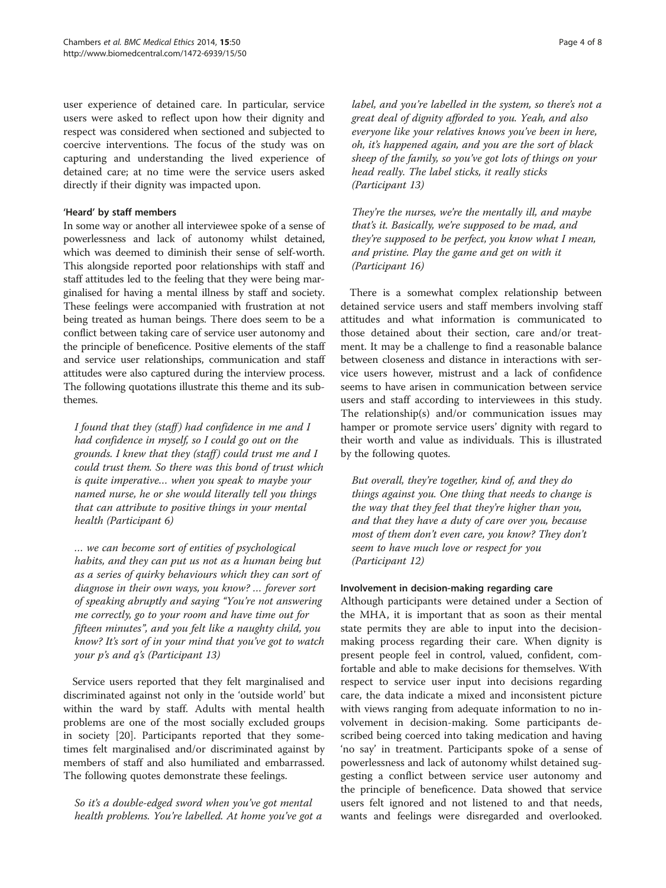user experience of detained care. In particular, service users were asked to reflect upon how their dignity and respect was considered when sectioned and subjected to coercive interventions. The focus of the study was on capturing and understanding the lived experience of detained care; at no time were the service users asked directly if their dignity was impacted upon.

## 'Heard' by staff members

In some way or another all interviewee spoke of a sense of powerlessness and lack of autonomy whilst detained, which was deemed to diminish their sense of self-worth. This alongside reported poor relationships with staff and staff attitudes led to the feeling that they were being marginalised for having a mental illness by staff and society. These feelings were accompanied with frustration at not being treated as human beings. There does seem to be a conflict between taking care of service user autonomy and the principle of beneficence. Positive elements of the staff and service user relationships, communication and staff attitudes were also captured during the interview process. The following quotations illustrate this theme and its subthemes.

I found that they (staff) had confidence in me and  $I$ had confidence in myself, so I could go out on the grounds. I knew that they (staff) could trust me and I could trust them. So there was this bond of trust which is quite imperative… when you speak to maybe your named nurse, he or she would literally tell you things that can attribute to positive things in your mental health (Participant 6)

… we can become sort of entities of psychological habits, and they can put us not as a human being but as a series of quirky behaviours which they can sort of diagnose in their own ways, you know? … forever sort of speaking abruptly and saying "You're not answering me correctly, go to your room and have time out for fifteen minutes", and you felt like a naughty child, you know? It's sort of in your mind that you've got to watch your p's and q's (Participant 13)

Service users reported that they felt marginalised and discriminated against not only in the 'outside world' but within the ward by staff. Adults with mental health problems are one of the most socially excluded groups in society [[20](#page-7-0)]. Participants reported that they sometimes felt marginalised and/or discriminated against by members of staff and also humiliated and embarrassed. The following quotes demonstrate these feelings.

So it's a double-edged sword when you've got mental health problems. You're labelled. At home you've got a label, and you're labelled in the system, so there's not a great deal of dignity afforded to you. Yeah, and also everyone like your relatives knows you've been in here, oh, it's happened again, and you are the sort of black sheep of the family, so you've got lots of things on your head really. The label sticks, it really sticks (Participant 13)

They're the nurses, we're the mentally ill, and maybe that's it. Basically, we're supposed to be mad, and they're supposed to be perfect, you know what I mean, and pristine. Play the game and get on with it (Participant 16)

There is a somewhat complex relationship between detained service users and staff members involving staff attitudes and what information is communicated to those detained about their section, care and/or treatment. It may be a challenge to find a reasonable balance between closeness and distance in interactions with service users however, mistrust and a lack of confidence seems to have arisen in communication between service users and staff according to interviewees in this study. The relationship(s) and/or communication issues may hamper or promote service users' dignity with regard to their worth and value as individuals. This is illustrated by the following quotes.

But overall, they're together, kind of, and they do things against you. One thing that needs to change is the way that they feel that they're higher than you, and that they have a duty of care over you, because most of them don't even care, you know? They don't seem to have much love or respect for you (Participant 12)

# Involvement in decision-making regarding care

Although participants were detained under a Section of the MHA, it is important that as soon as their mental state permits they are able to input into the decisionmaking process regarding their care. When dignity is present people feel in control, valued, confident, comfortable and able to make decisions for themselves. With respect to service user input into decisions regarding care, the data indicate a mixed and inconsistent picture with views ranging from adequate information to no involvement in decision-making. Some participants described being coerced into taking medication and having 'no say' in treatment. Participants spoke of a sense of powerlessness and lack of autonomy whilst detained suggesting a conflict between service user autonomy and the principle of beneficence. Data showed that service users felt ignored and not listened to and that needs, wants and feelings were disregarded and overlooked.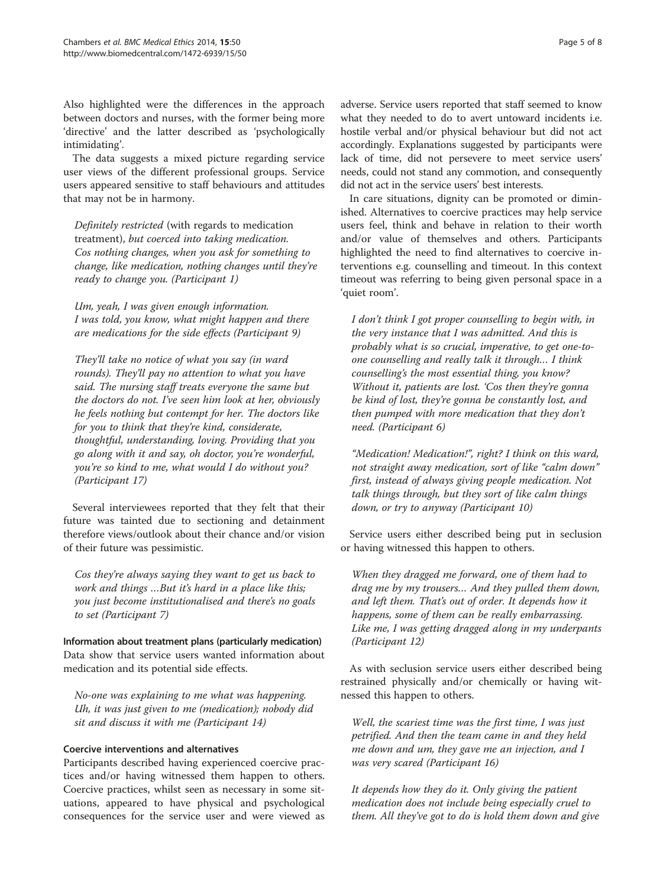Also highlighted were the differences in the approach between doctors and nurses, with the former being more 'directive' and the latter described as 'psychologically intimidating'.

The data suggests a mixed picture regarding service user views of the different professional groups. Service users appeared sensitive to staff behaviours and attitudes that may not be in harmony.

Definitely restricted (with regards to medication treatment), but coerced into taking medication. Cos nothing changes, when you ask for something to change, like medication, nothing changes until they're ready to change you. (Participant 1)

Um, yeah, I was given enough information. I was told, you know, what might happen and there are medications for the side effects (Participant 9)

They'll take no notice of what you say (in ward rounds). They'll pay no attention to what you have said. The nursing staff treats everyone the same but the doctors do not. I've seen him look at her, obviously he feels nothing but contempt for her. The doctors like for you to think that they're kind, considerate, thoughtful, understanding, loving. Providing that you go along with it and say, oh doctor, you're wonderful, you're so kind to me, what would I do without you? (Participant 17)

Several interviewees reported that they felt that their future was tainted due to sectioning and detainment therefore views/outlook about their chance and/or vision of their future was pessimistic.

Cos they're always saying they want to get us back to work and things …But it's hard in a place like this; you just become institutionalised and there's no goals to set (Participant 7)

Information about treatment plans (particularly medication) Data show that service users wanted information about medication and its potential side effects.

No-one was explaining to me what was happening. Uh, it was just given to me (medication); nobody did sit and discuss it with me (Participant 14)

#### Coercive interventions and alternatives

Participants described having experienced coercive practices and/or having witnessed them happen to others. Coercive practices, whilst seen as necessary in some situations, appeared to have physical and psychological consequences for the service user and were viewed as

adverse. Service users reported that staff seemed to know what they needed to do to avert untoward incidents i.e. hostile verbal and/or physical behaviour but did not act accordingly. Explanations suggested by participants were lack of time, did not persevere to meet service users' needs, could not stand any commotion, and consequently did not act in the service users' best interests.

In care situations, dignity can be promoted or diminished. Alternatives to coercive practices may help service users feel, think and behave in relation to their worth and/or value of themselves and others. Participants highlighted the need to find alternatives to coercive interventions e.g. counselling and timeout. In this context timeout was referring to being given personal space in a 'quiet room'.

I don't think I got proper counselling to begin with, in the very instance that I was admitted. And this is probably what is so crucial, imperative, to get one-toone counselling and really talk it through… I think counselling's the most essential thing, you know? Without it, patients are lost. 'Cos then they're gonna be kind of lost, they're gonna be constantly lost, and then pumped with more medication that they don't need. (Participant 6)

"Medication! Medication!", right? I think on this ward, not straight away medication, sort of like "calm down" first, instead of always giving people medication. Not talk things through, but they sort of like calm things down, or try to anyway (Participant 10)

Service users either described being put in seclusion or having witnessed this happen to others.

When they dragged me forward, one of them had to drag me by my trousers… And they pulled them down, and left them. That's out of order. It depends how it happens, some of them can be really embarrassing. Like me, I was getting dragged along in my underpants (Participant 12)

As with seclusion service users either described being restrained physically and/or chemically or having witnessed this happen to others.

Well, the scariest time was the first time, I was just petrified. And then the team came in and they held me down and um, they gave me an injection, and I was very scared (Participant 16)

It depends how they do it. Only giving the patient medication does not include being especially cruel to them. All they've got to do is hold them down and give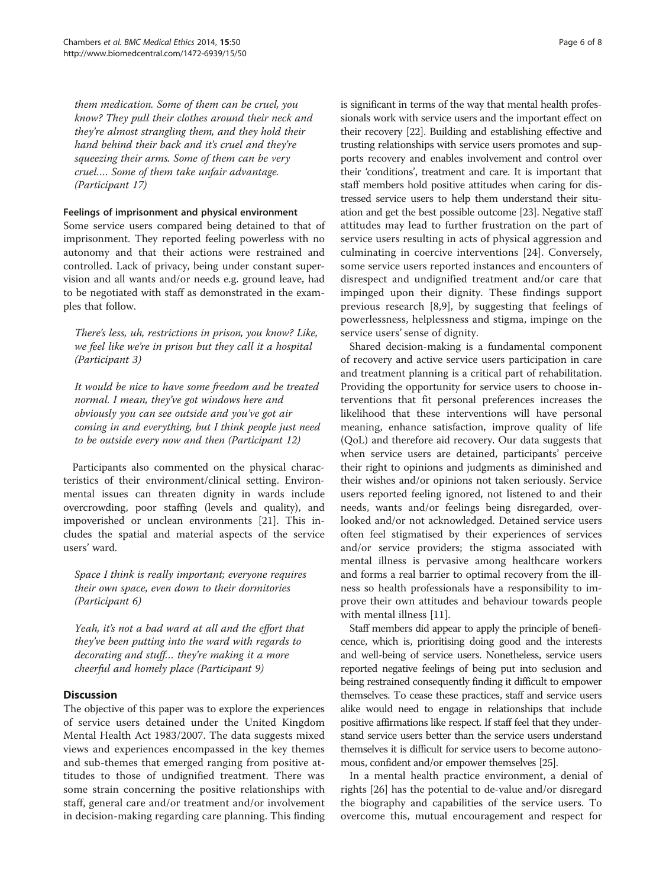them medication. Some of them can be cruel, you know? They pull their clothes around their neck and they're almost strangling them, and they hold their hand behind their back and it's cruel and they're squeezing their arms. Some of them can be very cruel…. Some of them take unfair advantage. (Participant 17)

#### Feelings of imprisonment and physical environment

Some service users compared being detained to that of imprisonment. They reported feeling powerless with no autonomy and that their actions were restrained and controlled. Lack of privacy, being under constant supervision and all wants and/or needs e.g. ground leave, had to be negotiated with staff as demonstrated in the examples that follow.

There's less, uh, restrictions in prison, you know? Like, we feel like we're in prison but they call it a hospital (Participant 3)

It would be nice to have some freedom and be treated normal. I mean, they've got windows here and obviously you can see outside and you've got air coming in and everything, but I think people just need to be outside every now and then (Participant 12)

Participants also commented on the physical characteristics of their environment/clinical setting. Environmental issues can threaten dignity in wards include overcrowding, poor staffing (levels and quality), and impoverished or unclean environments [\[21](#page-7-0)]. This includes the spatial and material aspects of the service users' ward.

Space I think is really important; everyone requires their own space, even down to their dormitories (Participant 6)

Yeah, it's not a bad ward at all and the effort that they've been putting into the ward with regards to decorating and stuff… they're making it a more cheerful and homely place (Participant 9)

# **Discussion**

The objective of this paper was to explore the experiences of service users detained under the United Kingdom Mental Health Act 1983/2007. The data suggests mixed views and experiences encompassed in the key themes and sub-themes that emerged ranging from positive attitudes to those of undignified treatment. There was some strain concerning the positive relationships with staff, general care and/or treatment and/or involvement in decision-making regarding care planning. This finding is significant in terms of the way that mental health professionals work with service users and the important effect on their recovery [\[22\]](#page-7-0). Building and establishing effective and trusting relationships with service users promotes and supports recovery and enables involvement and control over their 'conditions', treatment and care. It is important that staff members hold positive attitudes when caring for distressed service users to help them understand their situation and get the best possible outcome [[23](#page-7-0)]. Negative staff attitudes may lead to further frustration on the part of service users resulting in acts of physical aggression and culminating in coercive interventions [[24](#page-7-0)]. Conversely, some service users reported instances and encounters of disrespect and undignified treatment and/or care that impinged upon their dignity. These findings support previous research [[8,9\]](#page-6-0), by suggesting that feelings of powerlessness, helplessness and stigma, impinge on the service users' sense of dignity.

Shared decision-making is a fundamental component of recovery and active service users participation in care and treatment planning is a critical part of rehabilitation. Providing the opportunity for service users to choose interventions that fit personal preferences increases the likelihood that these interventions will have personal meaning, enhance satisfaction, improve quality of life (QoL) and therefore aid recovery. Our data suggests that when service users are detained, participants' perceive their right to opinions and judgments as diminished and their wishes and/or opinions not taken seriously. Service users reported feeling ignored, not listened to and their needs, wants and/or feelings being disregarded, overlooked and/or not acknowledged. Detained service users often feel stigmatised by their experiences of services and/or service providers; the stigma associated with mental illness is pervasive among healthcare workers and forms a real barrier to optimal recovery from the illness so health professionals have a responsibility to improve their own attitudes and behaviour towards people with mental illness [[11\]](#page-6-0).

Staff members did appear to apply the principle of beneficence, which is, prioritising doing good and the interests and well-being of service users. Nonetheless, service users reported negative feelings of being put into seclusion and being restrained consequently finding it difficult to empower themselves. To cease these practices, staff and service users alike would need to engage in relationships that include positive affirmations like respect. If staff feel that they understand service users better than the service users understand themselves it is difficult for service users to become autonomous, confident and/or empower themselves [\[25](#page-7-0)].

In a mental health practice environment, a denial of rights [\[26](#page-7-0)] has the potential to de-value and/or disregard the biography and capabilities of the service users. To overcome this, mutual encouragement and respect for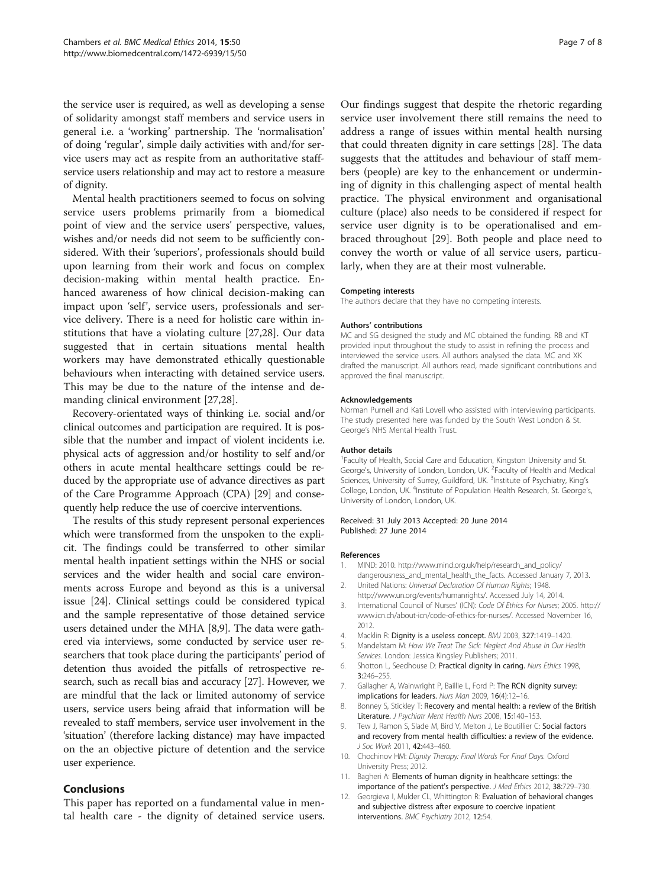<span id="page-6-0"></span>the service user is required, as well as developing a sense of solidarity amongst staff members and service users in general i.e. a 'working' partnership. The 'normalisation' of doing 'regular', simple daily activities with and/for service users may act as respite from an authoritative staffservice users relationship and may act to restore a measure of dignity.

Mental health practitioners seemed to focus on solving service users problems primarily from a biomedical point of view and the service users' perspective, values, wishes and/or needs did not seem to be sufficiently considered. With their 'superiors', professionals should build upon learning from their work and focus on complex decision-making within mental health practice. Enhanced awareness of how clinical decision-making can impact upon 'self', service users, professionals and service delivery. There is a need for holistic care within institutions that have a violating culture [\[27,28](#page-7-0)]. Our data suggested that in certain situations mental health workers may have demonstrated ethically questionable behaviours when interacting with detained service users. This may be due to the nature of the intense and demanding clinical environment [[27](#page-7-0),[28](#page-7-0)].

Recovery-orientated ways of thinking i.e. social and/or clinical outcomes and participation are required. It is possible that the number and impact of violent incidents i.e. physical acts of aggression and/or hostility to self and/or others in acute mental healthcare settings could be reduced by the appropriate use of advance directives as part of the Care Programme Approach (CPA) [\[29\]](#page-7-0) and consequently help reduce the use of coercive interventions.

The results of this study represent personal experiences which were transformed from the unspoken to the explicit. The findings could be transferred to other similar mental health inpatient settings within the NHS or social services and the wider health and social care environments across Europe and beyond as this is a universal issue [\[24\]](#page-7-0). Clinical settings could be considered typical and the sample representative of those detained service users detained under the MHA [8,9]. The data were gathered via interviews, some conducted by service user researchers that took place during the participants' period of detention thus avoided the pitfalls of retrospective research, such as recall bias and accuracy [\[27\]](#page-7-0). However, we are mindful that the lack or limited autonomy of service users, service users being afraid that information will be revealed to staff members, service user involvement in the 'situation' (therefore lacking distance) may have impacted on the an objective picture of detention and the service user experience.

#### **Conclusions**

This paper has reported on a fundamental value in mental health care - the dignity of detained service users.

Our findings suggest that despite the rhetoric regarding service user involvement there still remains the need to address a range of issues within mental health nursing that could threaten dignity in care settings [\[28](#page-7-0)]. The data suggests that the attitudes and behaviour of staff members (people) are key to the enhancement or undermining of dignity in this challenging aspect of mental health practice. The physical environment and organisational culture (place) also needs to be considered if respect for service user dignity is to be operationalised and embraced throughout [\[29](#page-7-0)]. Both people and place need to convey the worth or value of all service users, particularly, when they are at their most vulnerable.

#### Competing interests

The authors declare that they have no competing interests.

#### Authors' contributions

MC and SG designed the study and MC obtained the funding. RB and KT provided input throughout the study to assist in refining the process and interviewed the service users. All authors analysed the data. MC and XK drafted the manuscript. All authors read, made significant contributions and approved the final manuscript.

#### Acknowledgements

Norman Purnell and Kati Lovell who assisted with interviewing participants. The study presented here was funded by the South West London & St. George's NHS Mental Health Trust.

#### Author details

<sup>1</sup> Faculty of Health, Social Care and Education, Kingston University and St George's, University of London, London, UK. <sup>2</sup> Faculty of Health and Medical Sciences, University of Surrey, Guildford, UK.<sup>3</sup>Institute of Psychiatry, King's College, London, UK. <sup>4</sup>Institute of Population Health Research, St. George's University of London, London, UK.

#### Received: 31 July 2013 Accepted: 20 June 2014 Published: 27 June 2014

#### References

- 1. MIND: 2010. [http://www.mind.org.uk/help/research\\_and\\_policy/](http://www.mind.org.uk/help/research_and_policy/dangerousness_and_mental_health_the_facts) [dangerousness\\_and\\_mental\\_health\\_the\\_facts.](http://www.mind.org.uk/help/research_and_policy/dangerousness_and_mental_health_the_facts) Accessed January 7, 2013.
- 2. United Nations: Universal Declaration Of Human Rights; 1948. [http://www.un.org/events/humanrights/.](http://www.un.org/events/humanrights/) Accessed July 14, 2014.
- 3. International Council of Nurses' (ICN): Code Of Ethics For Nurses; 2005. [http://](http://www.icn.ch/about-icn/code-of-ethics-for-nurses/) [www.icn.ch/about-icn/code-of-ethics-for-nurses/.](http://www.icn.ch/about-icn/code-of-ethics-for-nurses/) Accessed November 16, 2012.
- 4. Macklin R: Dignity is a useless concept. BMJ 2003, 327:1419–1420.
- 5. Mandelstam M: How We Treat The Sick: Neglect And Abuse In Our Health Services. London: Jessica Kingsley Publishers; 2011.
- 6. Shotton L, Seedhouse D: Practical dignity in caring. Nurs Ethics 1998, 3:246–255.
- 7. Gallagher A, Wainwright P, Baillie L, Ford P: The RCN dignity survey: implications for leaders. Nurs Man 2009, 16(4):12–16.
- 8. Bonney S, Stickley T: Recovery and mental health: a review of the British Literature. J Psychiatr Ment Health Nurs 2008, 15:140–153.
- 9. Tew J, Ramon S, Slade M, Bird V, Melton J, Le Boutillier C: Social factors and recovery from mental health difficulties: a review of the evidence. J Soc Work 2011, 42:443–460.
- 10. Chochinov HM: Dignity Therapy: Final Words For Final Days. Oxford University Press; 2012.
- 11. Bagheri A: Elements of human dignity in healthcare settings: the importance of the patient's perspective. J Med Ethics 2012, 38:729-730.
- 12. Georgieva I, Mulder CL, Whittington R: Evaluation of behavioral changes and subjective distress after exposure to coercive inpatient interventions. BMC Psychiatry 2012, 12:54.